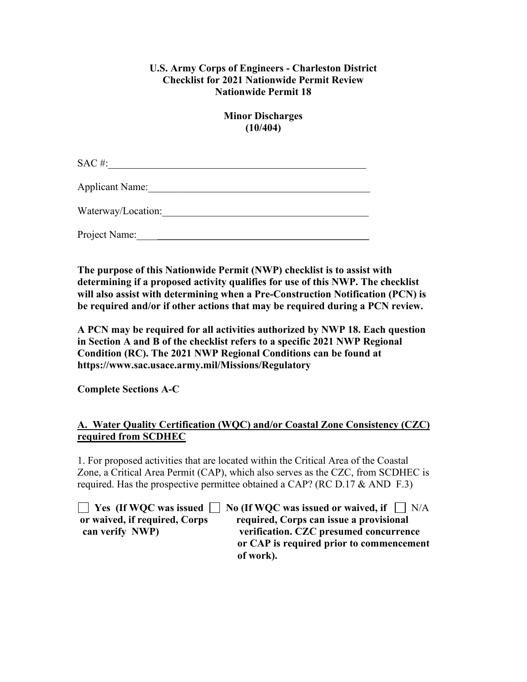## **U.S. Army Corps of Engineers - Charleston District Checklist for 2021 Nationwide Permit Review Nationwide Permit 18**

**Minor Discharges (10/404)**

 $SAC \#:$ 

Applicant Name:

Waterway/Location:\_\_\_\_\_\_\_\_\_\_\_\_\_\_\_\_\_\_\_\_\_\_\_\_\_\_\_\_\_\_\_\_\_\_\_\_\_\_\_\_

Project Name:

**The purpose of this Nationwide Permit (NWP) checklist is to assist with determining if a proposed activity qualifies for use of this NWP. The checklist will also assist with determining when a Pre-Construction Notification (PCN) is be required and/or if other actions that may be required during a PCN review.**

**A PCN may be required for all activities authorized by NWP 18. Each question in Section A and B of the checklist refers to a specific 2021 NWP Regional Condition (RC). The 2021 NWP Regional Conditions can be found at https://www.sac.usace.army.mil/Missions/Regulatory**

**Complete Sections A-C**

## **A. Water Quality Certification (WQC) and/or Coastal Zone Consistency (CZC) required from SCDHEC**

1. For proposed activities that are located within the Critical Area of the Coastal Zone, a Critical Area Permit (CAP), which also serves as the CZC, from SCDHEC is required. Has the prospective permittee obtained a CAP? (RC D.17  $\&$  AND F.3)

**T** Yes (If WQC was issued **No** (If WQC was issued or waived, if  $\Box$  N/A **or waived, if required, Corps required, Corps can issue a provisional can verify NWP) verification. CZC presumed concurrence or CAP is required prior to commencement of work).**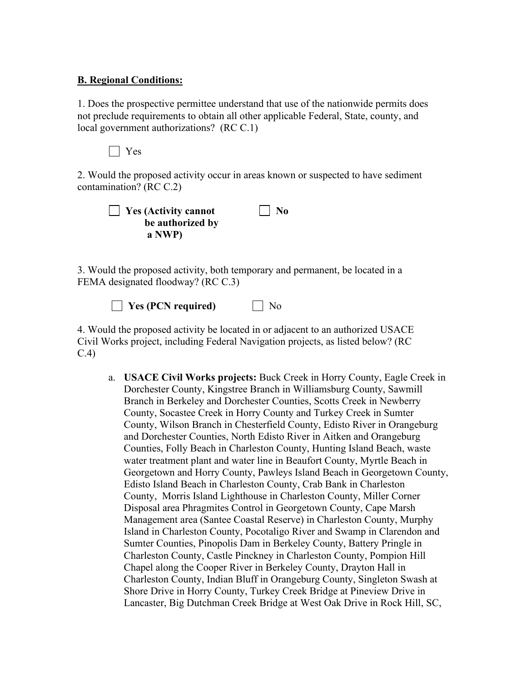## **B. Regional Conditions:**

1. Does the prospective permittee understand that use of the nationwide permits does not preclude requirements to obtain all other applicable Federal, State, county, and local government authorizations? (RC C.1)

Yes

2. Would the proposed activity occur in areas known or suspected to have sediment contamination? (RC C.2)

| $\Box$ Yes (Activity cannot | $\vert$ No |
|-----------------------------|------------|
| be authorized by            |            |
| a NWP)                      |            |

3. Would the proposed activity, both temporary and permanent, be located in a FEMA designated floodway? (RC C.3)

**Yes (PCN required)** No

4. Would the proposed activity be located in or adjacent to an authorized USACE Civil Works project, including Federal Navigation projects, as listed below? (RC C.4)

a. **USACE Civil Works projects:** Buck Creek in Horry County, Eagle Creek in Dorchester County, Kingstree Branch in Williamsburg County, Sawmill Branch in Berkeley and Dorchester Counties, Scotts Creek in Newberry County, Socastee Creek in Horry County and Turkey Creek in Sumter County, Wilson Branch in Chesterfield County, Edisto River in Orangeburg and Dorchester Counties, North Edisto River in Aitken and Orangeburg Counties, Folly Beach in Charleston County, Hunting Island Beach, waste water treatment plant and water line in Beaufort County, Myrtle Beach in Georgetown and Horry County, Pawleys Island Beach in Georgetown County, Edisto Island Beach in Charleston County, Crab Bank in Charleston County, Morris Island Lighthouse in Charleston County, Miller Corner Disposal area Phragmites Control in Georgetown County, Cape Marsh Management area (Santee Coastal Reserve) in Charleston County, Murphy Island in Charleston County, Pocotaligo River and Swamp in Clarendon and Sumter Counties, Pinopolis Dam in Berkeley County, Battery Pringle in Charleston County, Castle Pinckney in Charleston County, Pompion Hill Chapel along the Cooper River in Berkeley County, Drayton Hall in Charleston County, Indian Bluff in Orangeburg County, Singleton Swash at Shore Drive in Horry County, Turkey Creek Bridge at Pineview Drive in Lancaster, Big Dutchman Creek Bridge at West Oak Drive in Rock Hill, SC,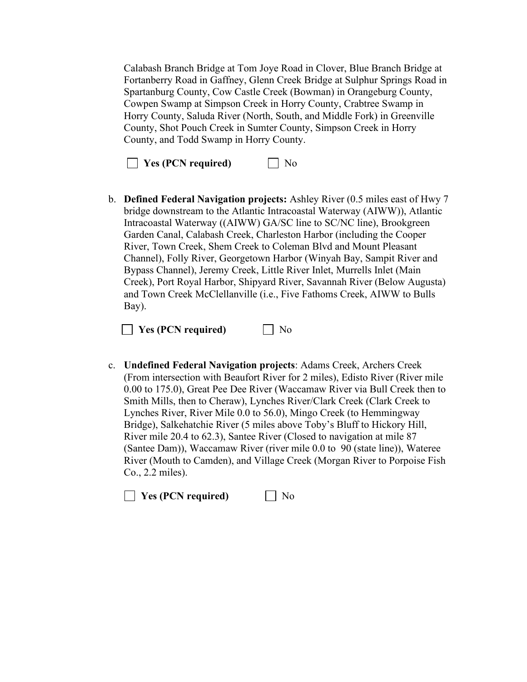Calabash Branch Bridge at Tom Joye Road in Clover, Blue Branch Bridge at Fortanberry Road in Gaffney, Glenn Creek Bridge at Sulphur Springs Road in Spartanburg County, Cow Castle Creek (Bowman) in Orangeburg County, Cowpen Swamp at Simpson Creek in Horry County, Crabtree Swamp in Horry County, Saluda River (North, South, and Middle Fork) in Greenville County, Shot Pouch Creek in Sumter County, Simpson Creek in Horry County, and Todd Swamp in Horry County.

**No** Yes (PCN required)  $\Box$  No

b. **Defined Federal Navigation projects:** Ashley River (0.5 miles east of Hwy 7 bridge downstream to the Atlantic Intracoastal Waterway (AIWW)), Atlantic Intracoastal Waterway ((AIWW) GA/SC line to SC/NC line), Brookgreen Garden Canal, Calabash Creek, Charleston Harbor (including the Cooper River, Town Creek, Shem Creek to Coleman Blvd and Mount Pleasant Channel), Folly River, Georgetown Harbor (Winyah Bay, Sampit River and Bypass Channel), Jeremy Creek, Little River Inlet, Murrells Inlet (Main Creek), Port Royal Harbor, Shipyard River, Savannah River (Below Augusta) and Town Creek McClellanville (i.e., Five Fathoms Creek, AIWW to Bulls Bay).

**Yes (PCN required)** No

c. **Undefined Federal Navigation projects**: Adams Creek, Archers Creek (From intersection with Beaufort River for 2 miles), Edisto River (River mile 0.00 to 175.0), Great Pee Dee River (Waccamaw River via Bull Creek then to Smith Mills, then to Cheraw), Lynches River/Clark Creek (Clark Creek to Lynches River, River Mile 0.0 to 56.0), Mingo Creek (to Hemmingway Bridge), Salkehatchie River (5 miles above Toby's Bluff to Hickory Hill, River mile 20.4 to 62.3), Santee River (Closed to navigation at mile 87 (Santee Dam)), Waccamaw River (river mile 0.0 to 90 (state line)), Wateree River (Mouth to Camden), and Village Creek (Morgan River to Porpoise Fish Co., 2.2 miles).

**No** Yes (PCN required) Mo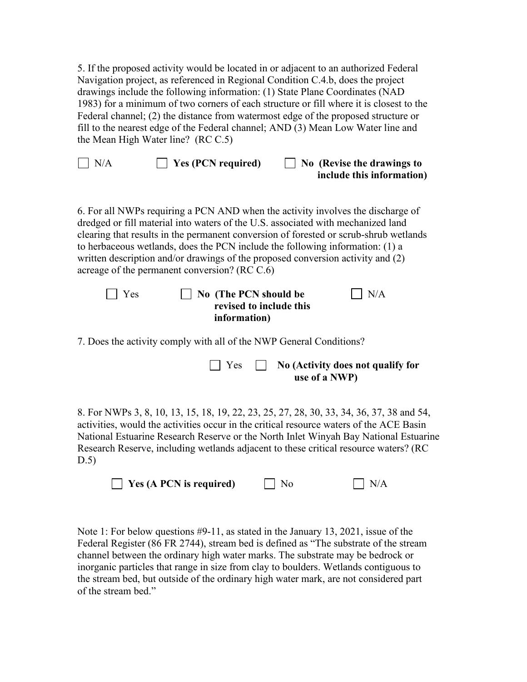5. If the proposed activity would be located in or adjacent to an authorized Federal Navigation project, as referenced in Regional Condition C.4.b, does the project drawings include the following information: (1) State Plane Coordinates (NAD 1983) for a minimum of two corners of each structure or fill where it is closest to the Federal channel; (2) the distance from watermost edge of the proposed structure or fill to the nearest edge of the Federal channel; AND (3) Mean Low Water line and the Mean High Water line? (RC C.5)

| $\Box$ N/A | $\Box$ Yes (PCN required) | $\Box$ No (Revise the drawings to |
|------------|---------------------------|-----------------------------------|
|            |                           | include this information)         |

6. For all NWPs requiring a PCN AND when the activity involves the discharge of dredged or fill material into waters of the U.S. associated with mechanized land clearing that results in the permanent conversion of forested or scrub-shrub wetlands to herbaceous wetlands, does the PCN include the following information: (1) a written description and/or drawings of the proposed conversion activity and (2) acreage of the permanent conversion? (RC C.6)

| $\Box$ Yes | $\vert$ No (The PCN should be | $\vert$ $\vert$ N/A |
|------------|-------------------------------|---------------------|
|            | revised to include this       |                     |
|            | information)                  |                     |

7. Does the activity comply with all of the NWP General Conditions?

|  | $\Box$ Yes $\Box$ No (Activity does not qualify for |
|--|-----------------------------------------------------|
|  | use of a NWP)                                       |

8. For NWPs 3, 8, 10, 13, 15, 18, 19, 22, 23, 25, 27, 28, 30, 33, 34, 36, 37, 38 and 54, activities, would the activities occur in the critical resource waters of the ACE Basin National Estuarine Research Reserve or the North Inlet Winyah Bay National Estuarine Research Reserve, including wetlands adjacent to these critical resource waters? (RC D.5)

| $\Box$ Yes (A PCN is required) | $\Box$ No | $\Box$ N/A |
|--------------------------------|-----------|------------|
|--------------------------------|-----------|------------|

Note 1: For below questions #9-11, as stated in the January 13, 2021, issue of the Federal Register (86 FR 2744), stream bed is defined as "The substrate of the stream channel between the ordinary high water marks. The substrate may be bedrock or inorganic particles that range in size from clay to boulders. Wetlands contiguous to the stream bed, but outside of the ordinary high water mark, are not considered part of the stream bed."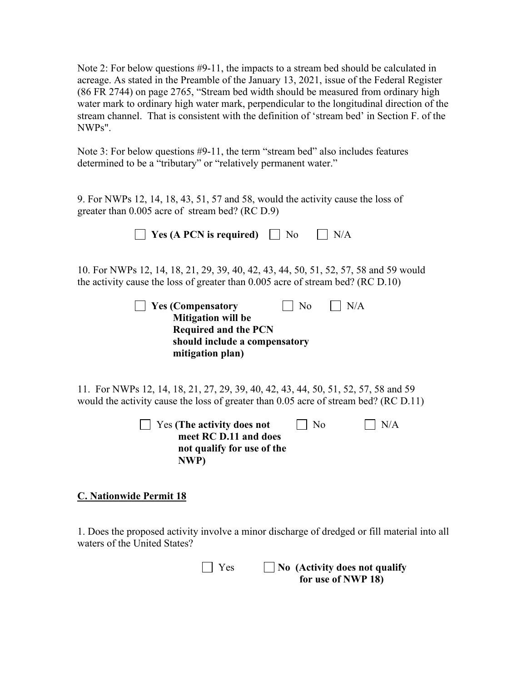Note 2: For below questions #9-11, the impacts to a stream bed should be calculated in acreage. As stated in the Preamble of the January 13, 2021, issue of the Federal Register (86 FR 2744) on page 2765, "Stream bed width should be measured from ordinary high water mark to ordinary high water mark, perpendicular to the longitudinal direction of the stream channel. That is consistent with the definition of 'stream bed' in Section F. of the NWPs".

Note 3: For below questions #9-11, the term "stream bed" also includes features determined to be a "tributary" or "relatively permanent water."

9. For NWPs 12, 14, 18, 43, 51, 57 and 58, would the activity cause the loss of greater than 0.005 acre of stream bed? (RC D.9)

| $\Box$ Yes (A PCN is required) $\Box$ No $\Box$ N/A |  |  |
|-----------------------------------------------------|--|--|
|                                                     |  |  |

10. For NWPs 12, 14, 18, 21, 29, 39, 40, 42, 43, 44, 50, 51, 52, 57, 58 and 59 would the activity cause the loss of greater than 0.005 acre of stream bed? (RC D.10)

| $\vert$ Yes (Compensatory     | $\vert$   No | $\vert$ $\vert$ N/A |
|-------------------------------|--------------|---------------------|
| <b>Mitigation will be</b>     |              |                     |
| <b>Required and the PCN</b>   |              |                     |
| should include a compensatory |              |                     |
| mitigation plan)              |              |                     |

11. For NWPs 12, 14, 18, 21, 27, 29, 39, 40, 42, 43, 44, 50, 51, 52, 57, 58 and 59 would the activity cause the loss of greater than 0.05 acre of stream bed? (RC D.11)

| $\vert$ $\vert$ Yes (The activity does not | $\Box$ No | $\vert$ $\vert$ N/A |
|--------------------------------------------|-----------|---------------------|
| meet RC D.11 and does                      |           |                     |
| not qualify for use of the                 |           |                     |
| NWP)                                       |           |                     |

## **C. Nationwide Permit 18**

1. Does the proposed activity involve a minor discharge of dredged or fill material into all waters of the United States?

> Yes **No (Activity does not qualify for use of NWP 18)**